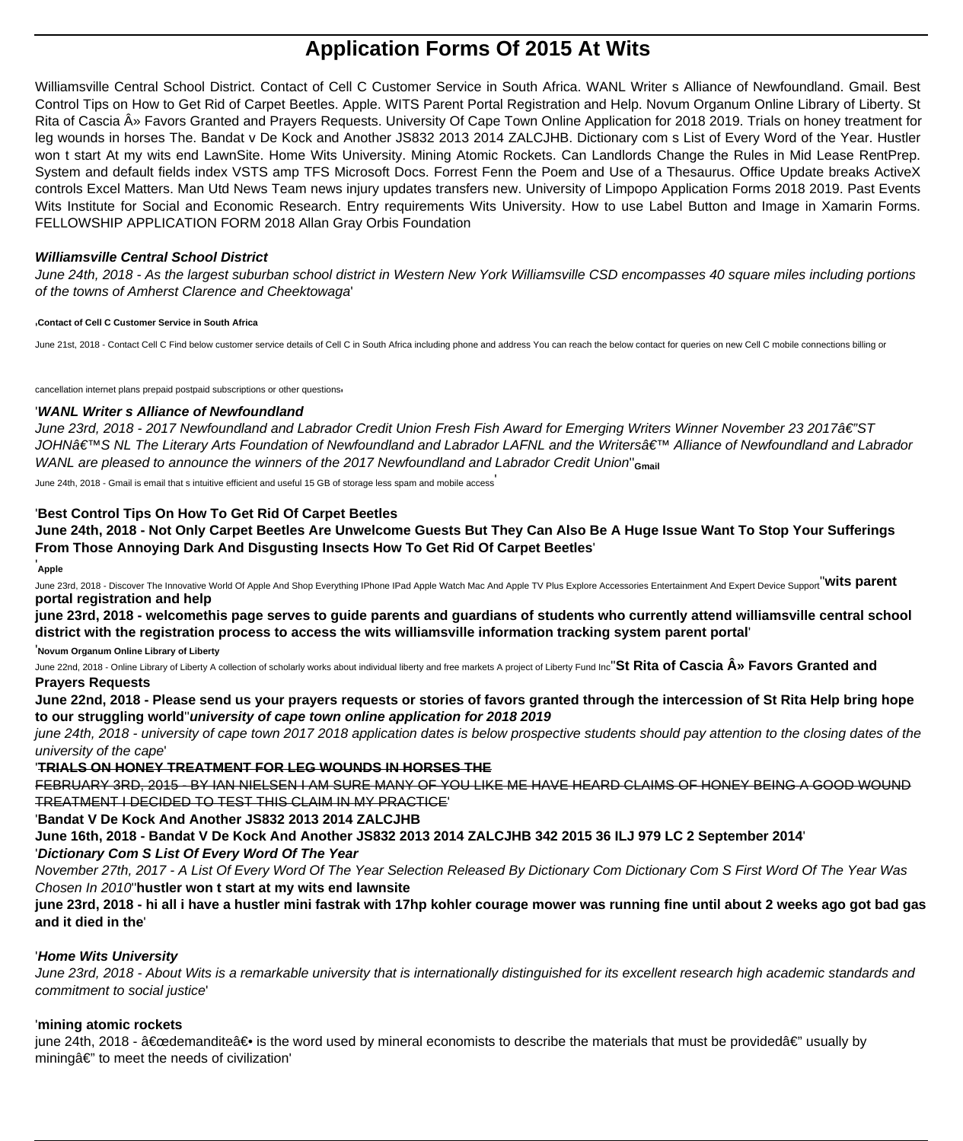# **Application Forms Of 2015 At Wits**

Williamsville Central School District. Contact of Cell C Customer Service in South Africa. WANL Writer s Alliance of Newfoundland. Gmail. Best Control Tips on How to Get Rid of Carpet Beetles. Apple. WITS Parent Portal Registration and Help. Novum Organum Online Library of Liberty. St Rita of Cascia » Favors Granted and Prayers Requests. University Of Cape Town Online Application for 2018 2019. Trials on honey treatment for leg wounds in horses The. Bandat v De Kock and Another JS832 2013 2014 ZALCJHB. Dictionary com s List of Every Word of the Year. Hustler won t start At my wits end LawnSite. Home Wits University. Mining Atomic Rockets. Can Landlords Change the Rules in Mid Lease RentPrep. System and default fields index VSTS amp TFS Microsoft Docs. Forrest Fenn the Poem and Use of a Thesaurus. Office Update breaks ActiveX controls Excel Matters. Man Utd News Team news injury updates transfers new. University of Limpopo Application Forms 2018 2019. Past Events Wits Institute for Social and Economic Research. Entry requirements Wits University. How to use Label Button and Image in Xamarin Forms. FELLOWSHIP APPLICATION FORM 2018 Allan Gray Orbis Foundation

## **Williamsville Central School District**

June 24th, 2018 - As the largest suburban school district in Western New York Williamsville CSD encompasses 40 square miles including portions of the towns of Amherst Clarence and Cheektowaga'

#### '**Contact of Cell C Customer Service in South Africa**

June 21st, 2018 - Contact Cell C Find below customer service details of Cell C in South Africa including phone and address You can reach the below contact for queries on new Cell C mobile connections billing or

cancellation internet plans prepaid postpaid subscriptions or other questions

## '**WANL Writer s Alliance of Newfoundland**

June 23rd, 2018 - 2017 Newfoundland and Labrador Credit Union Fresh Fish Award for Emerging Writers Winner November 23 2017â€"ST JOHN'S NL The Literary Arts Foundation of Newfoundland and Labrador LAFNL and the Writers' Alliance of Newfoundland and Labrador WANL are pleased to announce the winners of the 2017 Newfoundland and Labrador Credit Union''**Gmail**

June 24th, 2018 - Gmail is email that s intuitive efficient and useful 15 GB of storage less spam and mobile access'

## '**Best Control Tips On How To Get Rid Of Carpet Beetles**

**June 24th, 2018 - Not Only Carpet Beetles Are Unwelcome Guests But They Can Also Be A Huge Issue Want To Stop Your Sufferings From Those Annoying Dark And Disgusting Insects How To Get Rid Of Carpet Beetles**'

## '**Apple**

June 23rd, 2018 - Discover The Innovative World Of Apple And Shop Everything IPhone IPad Apple Watch Mac And Apple TV Plus Explore Accessories Entertainment And Expert Device Support''**wits parent portal registration and help**

**june 23rd, 2018 - welcomethis page serves to guide parents and guardians of students who currently attend williamsville central school district with the registration process to access the wits williamsville information tracking system parent portal**'

#### '**Novum Organum Online Library of Liberty**

June 22nd, 2018 - Online Library of Liberty A collection of scholarly works about individual liberty and free markets A project of Liberty Fund Inc<sup>''</sup>St Rita of Cascia » Favors Granted and **Prayers Requests**

**June 22nd, 2018 - Please send us your prayers requests or stories of favors granted through the intercession of St Rita Help bring hope to our struggling world**''**university of cape town online application for 2018 2019**

june 24th, 2018 - university of cape town 2017 2018 application dates is below prospective students should pay attention to the closing dates of the university of the cape'

## '**TRIALS ON HONEY TREATMENT FOR LEG WOUNDS IN HORSES THE**

FEBRUARY 3RD, 2015 - BY IAN NIELSEN I AM SURE MANY OF YOU LIKE ME HAVE HEARD CLAIMS OF HONEY BEING A GOOD WOUND TREATMENT I DECIDED TO TEST THIS CLAIM IN MY PRACTICE'

## '**Bandat V De Kock And Another JS832 2013 2014 ZALCJHB**

**June 16th, 2018 - Bandat V De Kock And Another JS832 2013 2014 ZALCJHB 342 2015 36 ILJ 979 LC 2 September 2014**'

'**Dictionary Com S List Of Every Word Of The Year**

November 27th, 2017 - A List Of Every Word Of The Year Selection Released By Dictionary Com Dictionary Com S First Word Of The Year Was Chosen In 2010''**hustler won t start at my wits end lawnsite**

# **june 23rd, 2018 - hi all i have a hustler mini fastrak with 17hp kohler courage mower was running fine until about 2 weeks ago got bad gas and it died in the**'

# '**Home Wits University**

June 23rd, 2018 - About Wits is a remarkable university that is internationally distinguished for its excellent research high academic standards and commitment to social justice'

## '**mining atomic rockets**

june 24th, 2018 -  $\hat{\alpha} \in \mathcal{A}$  as the word used by mineral economists to describe the materials that must be provided $\hat{\alpha} \in \mathcal{A}$  usually by  $mining\hat{\mathbf{a}}\in\mathbb{T}$  to meet the needs of civilization'